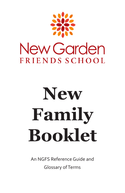

# **New Family Booklet**

An NGFS Reference Guide and Glossary ofTerms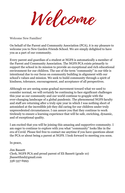Welcome

Welcome New Families!

On behalf of the Parent and Community Association (PCA), it is my pleasure to welcome you to New Garden Friends School. We are simply delighted to have you as a part of our community.

Every parent and guardian of a student at NGFS is automatically a member of the Parent and Community Association. The NGFS PCA exists primarily to support the school in its mission to provide an exceptional and rich educational environment for our children. The use of the term "community" in our title is intentional due to our focus on community building in alignment with our school's values and mission. We seek to build community through a spirit of kindness, tolerance, encouragement, and acceptance of all perspectives.

Although we are seeing some gradual movement toward what we used to consider normal, we will certainly be continuing to face significant challenges this year as our community and our world continue to grapple with the ever-changing landscape of a global pandemic. The phenomenal NGFS faculty and staff are returning after a truly epic year in which I was nothing short of astonished at the incredible job they did caring for our children under truly unprecedented circumstances. I can assure you that they continue to work tirelessly to ensure a learning experience that will be safe, enriching, dynamic, and of exceptional quality.

I am excited that you will be joining this amazing and supportive community. I am eager to continue to explore with you what "community" looks like in the era of Covid. Please feel free to contact me anytime if you have questions about the PCA or about being a parent at NGFS. I look forward to meeting you soon.

In peace,

Jim Bassett Clerk, NGFS PCA and proud parent of Eli Bassett (grade 10) jbassetthnd@gmail.com 336-337-6993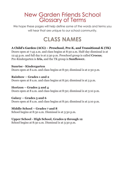### New Garden Friends School Glossary of Terms

We hope these pages will help define some of the words and terms you will hear that are unique to our school community.

## **CLASS NAMES**

#### **A Child's Garden (ACG) – Preschool, Pre-K, and Transitional-K (TK)**

Doors open at 7:45 a.m. and class begins at 8:30 a.m. Half-day dismissal is at 12:45 p.m. and full day is at 2:30 p.m. Preschool group is called **Crocus**; Pre-Kindergarten is **Iris,** and the TK group is **Sunflower.**

**Sunrise - Kindergarten** Doors open at 8 a.m. and class begins at 8:30; dismissal is at 2:30 p.m.

**Rainbow – Grades 1 and 2** Doors open at 8 a.m. and class begins at 8:30; dismissal is at 3 p.m.

**Horizon – Grades 3 and 4** Doors open at 8 a.m. and class begins at 8:30; dismissal is at 3:10 p.m.

**Galaxy – Grades 5 and 6** Doors open at 8 a.m. and class begins at 8:30; dismissal is at 3:10 p.m.

**Middle School – Grades 7 and 8** School begins at 8:30 a.m. Dismissal is at 3:30 p.m.

**Upper School - High School, Grades 9 through 12**

School begins at 8:30 a.m. Dismissal is at 3:30 p.m.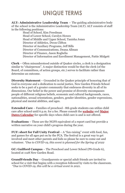## **UNIQUE TERMS**

**ALT: Administrative Leadership Team** – The guiding administrative body of the school is the Administrative Leadership Team (ALT). ALT consists of staff in the following positions:

Head of School, Kim Freedman Head of Lower School, Carolyn Howes Head of Middle and Upper School, Tanisha Jones Director of Athletics, Dwon Clifton Director of Auxiliary Programs, Jeff Bills Director of Communications, Deana Allman Director of Finance, Jason Roghelia Director of Information and Enrollment Management, Pattie Midgett

**Clerk** – Often misunderstood outside of Quaker circles, a clerk is a designation similar to "chairperson". A major distinction would be that the clerk (of the Board, of committees, of action groups, etc.) serves to facilitate rather than determine an outcome.

**Diversity Statement** – Grounded in the Quaker principle of honoring that of God in everyone and a dedication to social justice, New Garden Friends School seeks to be a part of a greater community that embraces diversity in all of its dimensions. Our belief in the power and promise of diversity encompasses people of different religious beliefs, economic and cultural backgrounds, races, nationalities, sexual orientations, genders, gender identities, gender expressions. physical and mental abilities, and ages.

**Extended Care** – Families of preschool - 8th grade students can utilize child care after school until 6 p.m. for a fee. Please consult the **[website](https://www.ngfs.org/school-life/extended-care.cfm)** and **[Major](https://www.ngfs.org/editoruploads/files/21-22_Major_Dates_Calendar_8_13-21.pdf) [Dates Calendar](https://www.ngfs.org/editoruploads/files/21-22_Major_Dates_Calendar_8_13-21.pdf)** for specific days when child care is and is not offered.

**Evaluations** – These are the NGFS equivalent of a report card but provide a written narrative on your child's progress during the year.

**FUF: short for Fall Unity Festival** – A "fun-raising" event with food, fun, and games for all ages put on by the PCA. The festival is a great way to get involved and meet other parents and kids so please be sure to come out and volunteer. *\*Due to COVID-19, this event is planned for the Spring of 2022*

**GC: Guilford Campus** – The Preschool and Lower School (PS-Grade 6), located at 1128 New Garden Road.

**GrandFriends Day** – Grandparents or special adult friends are invited to school for a visit that begins with a reception followed by visits to the classroom. *\*Due to COVID-19, this will be a virtual event in 2021.*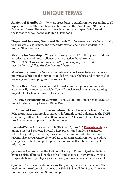## **UNIQUE TERMS**

**All School Handbook** – Policies, procedures, and information pertaining to all aspects of NGFS. The handbook can be found in the ParentsWeb "Resource Documents" area. There are also level handbooks with specific information for those grades as well as the COVID-19 Handbook.

**Hopes and Dreams/Goals and Growth Conferences** – A brief opportunity to share goals, challenges, and other information about your student with his/her/their teachers.

**Meeting for Worship** – We gather during the week<sup>\*</sup> in the Quaker tradition to reflect, to spend time in silence, and to practice thoughtfulness. \**Due to COVID-19, we are not currently gathering in person at the meetinghouse of New Garden Friends Meeting.*

**Mission Statement** – New Garden Friends School seeks to be an inclusive, innovative educational community guided by Quaker beliefs and committed to honoring and developing each person's gifts.

**Newsletter** – As a conscious effort toward stewardship, we communicate electronically as much as possible. You will receive weekly emails containing important all school news and class news.

**PFC: Page-Frederiksen Campus** – The Middle and Upper School (Grades 7-12), located at 2015 Pleasant Ridge Road.

**PCA: Parent Community Association** – Much like other school PTAs, the PCA coordinates and provides support, information, and guidance to the NGFS community. All families and staff are members. A key role of the PCA is to provide volunteer support throughout the year.

**ParentsWeb** – Also known as *FACTS Family Portal*, **[ParentsWeb](https://new-nc.client.renweb.com/pwr/)** is an online password-protected portal where parents and students can access schedules, grades, homework, forms, and other important information. Parents also use ParentsWeb to update their contact information, including emergency contacts and pick-up permissions as well as student medical information.

**Quaker** – Also known as the Religious Society of Friends, Quakers believe in living a spiritual life seeking that of God and goodness in everyone, living a simple life bound by integrity and honesty, and resolving conflicts peacefully.

**Spices** – The Quaker testimonies are the guiding values for our school. These testimonies are often referred to as the SPICES: Simplicity, Peace, Integrity, Community, Equality, and Stewardship.